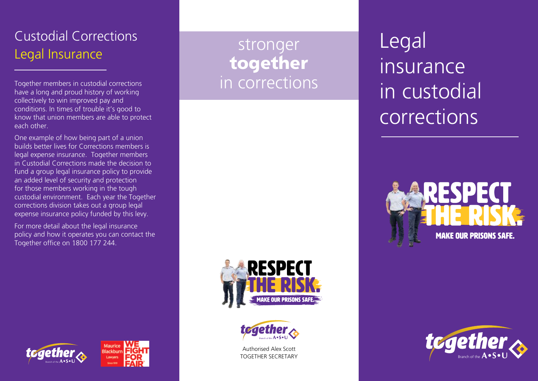## Custodial Corrections Legal Insurance

Together members in custodial corrections have a long and proud history of working collectively to win improved pay and conditions. In times of trouble it's good to know that union members are able to protect each other.

One example of how being part of a union builds better lives for Corrections members is legal expense insurance. Together members in Custodial Corrections made the decision to fund a group legal insurance policy to provide an added level of security and protection for those members working in the tough custodial environment. Each year the Together corrections division takes out a group legal expense insurance policy funded by this levy.

For more detail about the legal insurance policy and how it operates you can contact the Together office on 1800 177 244.

stronger together in corrections





Authorised Alex Scott TOGETHER SECRETARY

Legal insurance in custodial corrections